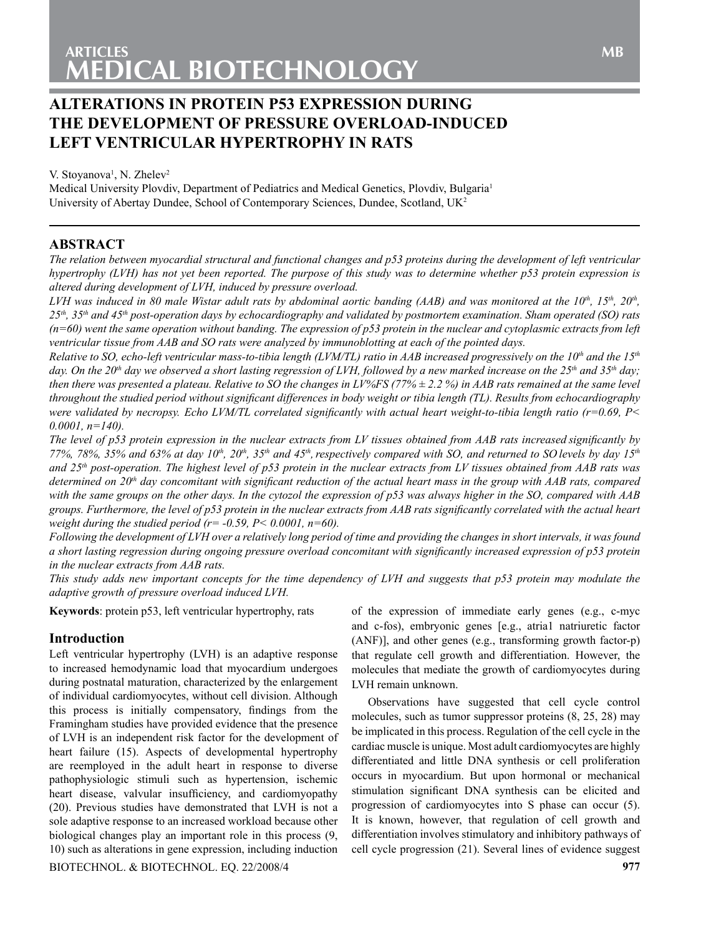# **Alterations in protein p53 expression during the development of pressure overload-induced left ventricular hypertrophy in rats**

V. Stoyanova<sup>1</sup>, N. Zhelev<sup>2</sup>

Medical University Plovdiv, Department of Pediatrics and Medical Genetics, Plovdiv, Bulgaria<sup>1</sup> University of Abertay Dundee, School of Contemporary Sciences, Dundee, Scotland,  $UK<sup>2</sup>$ 

# **ABSTRACT**

*The relation between myocardial structural and functional changes and p53 proteins during the development of left ventricular hypertrophy (LVH) has not yet been reported. The purpose of this study was to determine whether p53 protein expression is altered during development of LVH, induced by pressure overload.*

*LVH was induced in 80 male Wistar adult rats by abdominal aortic banding (AAB) and was monitored at the 10<sup>th</sup>, 15<sup>th</sup>, 20<sup>th</sup>, 25th, 35th and 45th post-operation days by echocardiography and validated by postmortem examination. Sham operated (SO) rats (n=60) went the same operation without banding. The expression of p53 protein in the nuclear and cytoplasmic extracts from left ventricular tissue from AAB and SO rats were analyzed by immunoblotting at each of the pointed days.*

*Relative to SO, echo-left ventricular mass-to-tibia length (LVM/TL) ratio in AAB increased progressively on the*  $10^{th}$  *and the*  $15^{th}$ day. On the 20<sup>th</sup> day we observed a short lasting regression of LVH, followed by a new marked increase on the 25<sup>th</sup> and 35<sup>th</sup> day; *then there was presented a plateau. Relative to SO the changes in LV%FS (77% ± 2.2 %) in AAB rats remained at the same level throughout the studied period without significant differences in body weight or tibia length (TL). Results from echocardiography were validated by necropsy. Echo LVM/TL correlated significantly with actual heart weight-to-tibia length ratio (r=0.69, P< 0.0001, n=140).*

*The level of p53 protein expression in the nuclear extracts from LV tissues obtained from AAB rats increased significantly by 77%, 78%, 35% and 63% at day 10th, 20th, 35th and 45th,respectively compared with SO, and returned to SO levels by day 15th and 25th post-operation. The highest level of p53 protein in the nuclear extracts from LV tissues obtained from AAB rats was determined on 20th day concomitant with significant reduction of the actual heart mass in the group with AAB rats, compared with the same groups on the other days. In the cytozol the expression of p53 was always higher in the SO, compared with AAB groups. Furthermore, the level of p53 protein in the nuclear extracts from AAB rats significantly correlated with the actual heart weight during the studied period (r= -0.59, P< 0.0001, n=60).* 

*Following the development of LVH over a relatively long period of time and providing the changes in short intervals, it was found a short lasting regression during ongoing pressure overload concomitant with significantly increased expression of p53 protein in the nuclear extracts from AAB rats.*

*This study adds new important concepts for the time dependency of LVH and suggests that p53 protein may modulate the adaptive growth of pressure overload induced LVH.*

**Keywords**: protein p53, left ventricular hypertrophy, rats

# **Introduction**

Left ventricular hypertrophy (LVH) is an adaptive response to increased hemodynamic load that myocardium undergoes during postnatal maturation, characterized by the enlargement of individual cardiomyocytes, without cell division. Although this process is initially compensatory, findings from the Framingham studies have provided evidence that the presence of LVH is an independent risk factor for the development of heart failure (15). Aspects of developmental hypertrophy are reemployed in the adult heart in response to diverse pathophysiologic stimuli such as hypertension, ischemic heart disease, valvular insufficiency, and cardiomyopathy (20). Previous studies have demonstrated that LVH is not a sole adaptive response to an increased workload because other biological changes play an important role in this process (9, 10) such as alterations in gene expression, including induction

Biotechnol. & Biotechnol. Eq. 22/2008/4 **977**

of the expression of immediate early genes (e.g., c-myc and c-fos), embryonic genes [e.g., atria1 natriuretic factor (ANF)], and other genes (e.g., transforming growth factor-p) that regulate cell growth and differentiation. However, the molecules that mediate the growth of cardiomyocytes during LVH remain unknown.

Observations have suggested that cell cycle control molecules, such as tumor suppressor proteins (8, 25, 28) may be implicated in this process. Regulation of the cell cycle in the cardiac muscle is unique. Most adult cardiomyocytes are highly differentiated and little DNA synthesis or cell proliferation occurs in myocardium. But upon hormonal or mechanical stimulation significant DNA synthesis can be elicited and progression of cardiomyocytes into S phase can occur (5). It is known, however, that regulation of cell growth and differentiation involves stimulatory and inhibitory pathways of cell cycle progression (21). Several lines of evidence suggest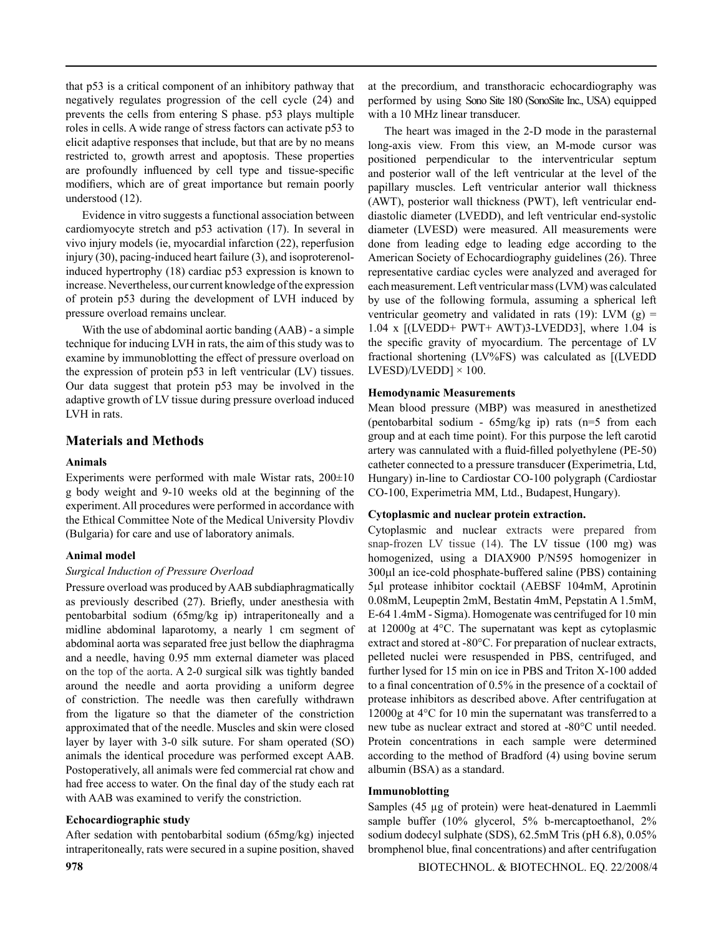that p53 is a critical component of an inhibitory pathway that negatively regulates progression of the cell cycle (24) and prevents the cells from entering S phase. p53 plays multiple roles in cells. A wide range of stress factors can activate p53 to elicit adaptive responses that include, but that are by no means restricted to, growth arrest and apoptosis. These properties are profoundly influenced by cell type and tissue-specific modifiers, which are of great importance but remain poorly understood (12).

Evidence in vitro suggests a functional association between cardiomyocyte stretch and p53 activation (17). In several in vivo injury models (ie, myocardial infarction (22), reperfusion injury (30), pacing-induced heart failure (3), and isoproterenolinduced hypertrophy (18) cardiac p53 expression is known to increase. Nevertheless, our current knowledge of the expression of protein p53 during the development of LVH induced by pressure overload remains unclear.

With the use of abdominal aortic banding (AAB) - a simple technique for inducing LVH in rats, the aim of this study was to examine by immunoblotting the effect of pressure overload on the expression of protein p53 in left ventricular (LV) tissues. Our data suggest that protein p53 may be involved in the adaptive growth of LV tissue during pressure overload induced LVH in rats.

# **Materials and Methods**

#### **Animals**

Experiments were performed with male Wistar rats,  $200\pm10$ g body weight and 9-10 weeks old at the beginning of the experiment. All procedures were performed in accordance with the Ethical Committee Note of the Medical University Plovdiv (Bulgaria) for care and use of laboratory animals.

#### **Animal model**

#### *Surgical Induction of Pressure Overload*

Pressure overload was produced by AAB subdiaphragmatically as previously described (27). Briefly, under anesthesia with pentobarbital sodium (65mg/kg ip) intraperitoneally and a midline abdominal laparotomy, a nearly 1 cm segment of abdominal aorta was separated free just bellow the diaphragma and a needle, having 0.95 mm external diameter was placed on the top of the aorta. A 2-0 surgical silk was tightly banded around the needle and aorta providing a uniform degree of constriction. The needle was then carefully withdrawn from the ligature so that the diameter of the constriction approximated that of the needle. Muscles and skin were closed layer by layer with 3-0 silk suture. For sham operated (SO) animals the identical procedure was performed except AAB. Postoperatively, all animals were fed commercial rat chow and had free access to water. On the final day of the study each rat with AAB was examined to verify the constriction.

### **Echocardiographic study**

After sedation with pentobarbital sodium (65mg/kg) injected intraperitoneally, rats were secured in a supine position, shaved at the precordium, and transthoracic echocardiography was performed by using Sono Site 180 (SonoSite Inc., USA) equipped with a 10 MHz linear transducer.

The heart was imaged in the 2-D mode in the parasternal long-axis view. From this view, an M-mode cursor was positioned perpendicular to the interventricular septum and posterior wall of the left ventricular at the level of the papillary muscles. Left ventricular anterior wall thickness (AWT), posterior wall thickness (PWT), left ventricular enddiastolic diameter (LVEDD), and left ventricular end-systolic diameter (LVESD) were measured. All measurements were done from leading edge to leading edge according to the American Society of Echocardiography guidelines (26). Three representative cardiac cycles were analyzed and averaged for each measurement. Left ventricular mass (LVM) was calculated by use of the following formula, assuming a spherical left ventricular geometry and validated in rats  $(19)$ : LVM  $(g)$  = 1.04 x [(LVEDD+ PWT+ AWT)3-LVEDD3], where 1.04 is the specific gravity of myocardium. The percentage of LV fractional shortening (LV%FS) was calculated as [(LVEDD  $LVESD$ / $LVEDD$ ]  $\times$  100.

### **Hemodynamic Measurements**

Mean blood pressure (MBP) was measured in anesthetized (pentobarbital sodium - 65mg/kg ip) rats (n=5 from each group and at each time point). For this purpose the left carotid artery was cannulated with a fluid-filled polyethylene (PE-50) catheter connected to a pressure transducer **(**Еxperimetria, Ltd, Hungary) in-line to Cardiostar CO-100 polygraph (Cardiostar CO-100, Experimetria MM, Ltd., Budapest, Hungary).

### **Cytoplasmic and nuclear protein extraction.**

Cytoplasmic and nuclear extracts were prepared from snap-frozen LV tissue (14). The LV tissue (100 mg) was homogenized, using a DIAX900 P/N595 homogenizer in 300µl an ice-cold phosphate-buffered saline (PBS) containing 5µl protease inhibitor cocktail (AEBSF 104mM, Aprotinin 0.08mM, Leupeptin 2mM, Bestatin 4mM, Pepstatin A 1.5mM, E-64 1.4mM - Sigma). Homogenate was centrifuged for 10 min at 12000g at 4°C. The supernatant was kept as cytoplasmic extract and stored at -80°C. For preparation of nuclear extracts, pelleted nuclei were resuspended in PBS, centrifuged, and further lysed for 15 min on ice in PBS and Triton Х-100 added to a final concentration of 0.5% in the presence of a cocktail of protease inhibitors as described above. After centrifugation at 12000g at 4°C for 10 min the supernatant was transferred to a new tube as nuclear extract and stored at -80°C until needed. Protein concentrations in each sample were determined according to the method of Bradford (4) using bovine serum albumin (BSA) as a standard.

### **Immunoblotting**

Samples (45 µg of protein) were heat-denatured in Laemmli sample buffer (10% glycerol, 5% b-mercaptoethanol, 2% sodium dodecyl sulphate (SDS), 62.5mM Tris (pH 6.8), 0.05% bromphenol blue, final concentrations) and after centrifugation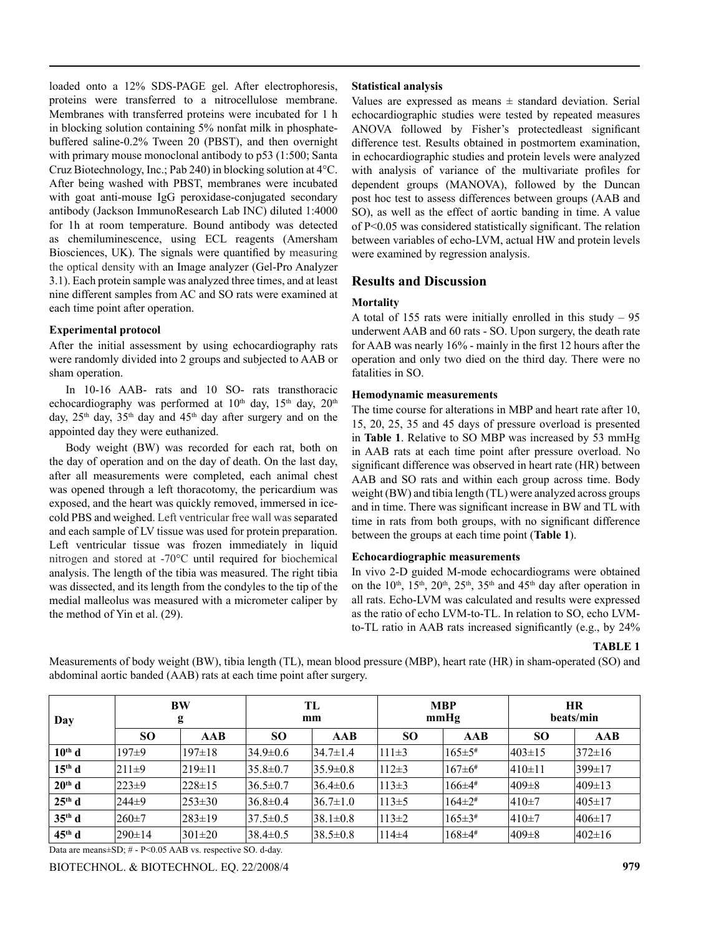loaded onto a 12% SDS-PAGE gel. After electrophoresis, proteins were transferred to a nitrocellulose membrane. Membranes with transferred proteins were incubated for 1 h in blocking solution containing 5% nonfat milk in phosphatebuffered saline-0.2% Tween 20 (PBST), and then overnight with primary mouse monoclonal antibody to p53 (1:500; Santa Cruz Biotechnology, Inc.; Pab 240) in blocking solution at 4°C. After being washed with PBST, membranes were incubated with goat anti-mouse IgG peroxidase-conjugated secondary antibody (Jackson ImmunoResearch Lab INC) diluted 1:4000 for 1h at room temperature. Bound antibody was detected as chemiluminescence, using ECL reagents (Amersham Biosciences, UK). The signals were quantified by measuring the optical density with an Image analyzer (Gel-Pro Analyzer 3.1). Each protein sample was analyzed three times, and at least nine different samples from AC and SO rats were examined at each time point after operation.

### **Experimental protocol**

After the initial assessment by using echocardiography rats were randomly divided into 2 groups and subjected to AAB or sham operation.

In 10-16 AAB- rats and 10 SO- rats transthoracic echocardiography was performed at 10<sup>th</sup> day, 15<sup>th</sup> day, 20<sup>th</sup> day, 25<sup>th</sup> day, 35<sup>th</sup> day and 45<sup>th</sup> day after surgery and on the appointed day they were euthanized.

Body weight (BW) was recorded for each rat, both on the day of operation and on the day of death. On the last day, after all measurements were completed, each animal chest was opened through a left thoracotomy, the pericardium was exposed, and the heart was quickly removed, immersed in icecold PBS and weighed. Left ventricular free wall was separated and each sample of LV tissue was used for protein preparation. Left ventricular tissue was frozen immediately in liquid nitrogen and stored at -70°C until required for biochemical analysis. The length of the tibia was measured. The right tibia was dissected, and its length from the condyles to the tip of the medial malleolus was measured with a micrometer caliper by the method of Yin et al. (29).

### **Statistical analysis**

Values are expressed as means  $\pm$  standard deviation. Serial echocardiographic studies were tested by repeated measures ANOVA followed by Fisher's protectedleast significant difference test. Results obtained in postmortem examination, in echocardiographic studies and protein levels were analyzed with analysis of variance of the multivariate profiles for dependent groups (MANOVA), followed by the Duncan post hoc test to assess differences between groups (AAB and SO), as well as the effect of aortic banding in time. A value of P<0.05 was considered statistically significant. The relation between variables of echo-LVM, actual HW and protein levels were examined by regression analysis.

# **Results and Discussion**

# **Mortality**

A total of 155 rats were initially enrolled in this study – 95 underwent AAB and 60 rats - SO. Upon surgery, the death rate for AAB was nearly 16% - mainly in the first 12 hours after the operation and only two died on the third day. There were no fatalities in SO.

# **Hemodynamic measurements**

The time course for alterations in MBP and heart rate after 10, 15, 20, 25, 35 and 45 days of pressure overload is presented in **Table 1**. Relative to SO MBP was increased by 53 mmHg in AAB rats at each time point after pressure overload. No significant difference was observed in heart rate (HR) between AAB and SO rats and within each group across time. Body weight (BW) and tibia length (TL) were analyzed across groups and in time. There was significant increase in BW and TL with time in rats from both groups, with no significant difference between the groups at each time point (**Table 1**).

### **Echocardiographic measurements**

In vivo 2-D guided M-mode echocardiograms were obtained on the  $10^{th}$ ,  $15^{th}$ ,  $20^{th}$ ,  $25^{th}$ ,  $35^{th}$  and  $45^{th}$  day after operation in all rats. Echo-LVM was calculated and results were expressed as the ratio of echo LVM-to-TL. In relation to SO, echo LVMto-TL ratio in AAB rats increased significantly (e.g., by 24%

#### **TABLE 1**

**Day BW g TL mm MBP mmHg HR beats/min SO AAB SO AAB SO AAB SO AAB 10th d** 197±9 197±18 34.9±0.6 34.7±1.4 111±3 165±5**#** 403±15 372±16 **15th d** 211±9 219±11 35.8±0.7 35.9±0.8 112±3 167±6**#** 410±11 399±17 **20th d** 223±9 228±15 36.5±0.7 36.4±0.6 113±3 166±4**#** 409±8 409±13 **25th d** 244±9 253±30 36.8±0.4 36.7±1.0 113±5 164±2**#** 410±7 405±17 **35th d** 260±7 283±19 37.5±0.5 38.1±0.8 113±2 165±3**#** 410±7 406±17 **45th d** 290±14 301±20 38.4±0.5 38.5±0.8 114±4 168±4**#** 409±8 402±16

Measurements of body weight (BW), tibia length (TL), mean blood pressure (MBP), heart rate (HR) in sham-operated (SO) and abdominal aortic banded (AAB) rats at each time point after surgery.

Data are means±SD; # - P<0.05 AAB vs. respective SO. d-day.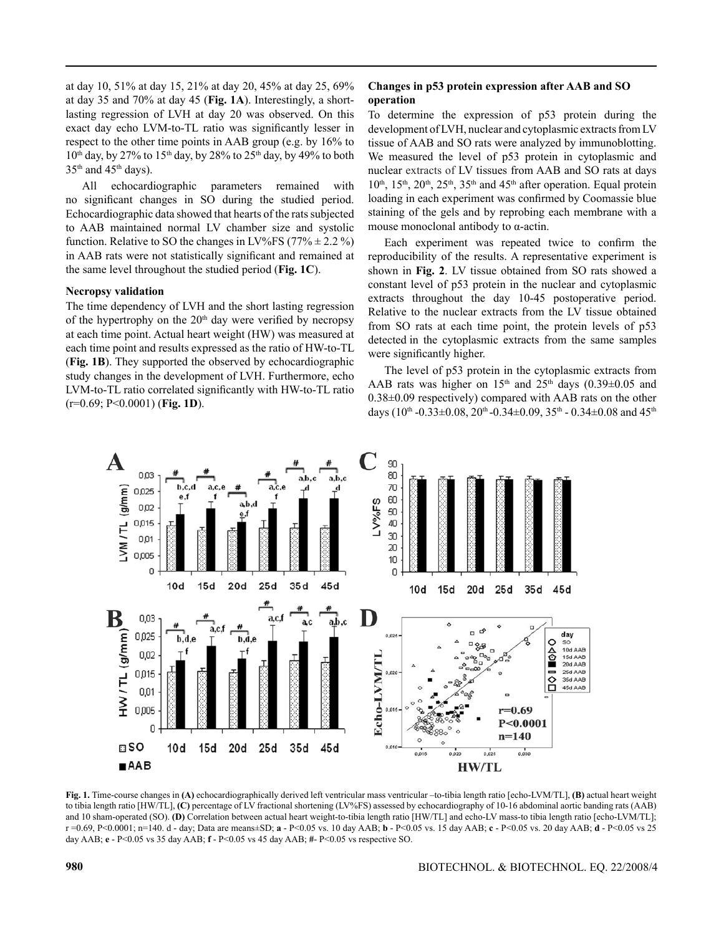at day 10, 51% at day 15, 21% at day 20, 45% at day 25, 69% at day 35 and 70% at day 45 (**Fig. 1A**). Interestingly, a shortlasting regression of LVH at day 20 was observed. On this exact day echo LVM-to-TL ratio was significantly lesser in respect to the other time points in AAB group (e.g. by 16% to  $10<sup>th</sup>$  day, by 27% to  $15<sup>th</sup>$  day, by 28% to  $25<sup>th</sup>$  day, by 49% to both  $35<sup>th</sup>$  and  $45<sup>th</sup>$  days).

All echocardiographic parameters remained with no significant changes in SO during the studied period. Echocardiographic data showed that hearts of the rats subjected to AAB maintained normal LV chamber size and systolic function. Relative to SO the changes in LV%FS (77%  $\pm$  2.2 %) in AAB rats were not statistically significant and remained at the same level throughout the studied period (**Fig. 1C**).

### **Necropsy validation**

The time dependency of LVH and the short lasting regression of the hypertrophy on the  $20<sup>th</sup>$  day were verified by necropsy at each time point. Actual heart weight (HW) was measured at each time point and results expressed as the ratio of HW-to-TL (**Fig. 1B**). They supported the observed by echocardiographic study changes in the development of LVH. Furthermore, echo LVM-to-TL ratio correlated significantly with HW-to-TL ratio (r=0.69; P<0.0001) (**Fig. 1D**).

# **Changes in p53 protein expression after AAB and SO operation**

To determine the expression of p53 protein during the development of LVH, nuclear and cytoplasmic extracts from LV tissue of AAB and SO rats were analyzed by immunoblotting. We measured the level of p53 protein in cytoplasmic and nuclear extracts of LV tissues from AAB and SO rats at days  $10<sup>th</sup>$ ,  $15<sup>th</sup>$ ,  $20<sup>th</sup>$ ,  $25<sup>th</sup>$ ,  $35<sup>th</sup>$  and  $45<sup>th</sup>$  after operation. Equal protein loading in each experiment was confirmed by Coomassie blue staining of the gels and by reprobing each membrane with a mouse monoclonal antibody to α-actin.

Each experiment was repeated twice to confirm the reproducibility of the results. A representative experiment is shown in **Fig. 2**. LV tissue obtained from SO rats showed a constant level of p53 protein in the nuclear and cytoplasmic extracts throughout the day 10-45 postoperative period. Relative to the nuclear extracts from the LV tissue obtained from SO rats at each time point, the protein levels of p53 detected in the cytoplasmic extracts from the same samples were significantly higher.

The level of p53 protein in the cytoplasmic extracts from AAB rats was higher on  $15<sup>th</sup>$  and  $25<sup>th</sup>$  days (0.39 $\pm$ 0.05 and 0.38±0.09 respectively) compared with AAB rats on the other days ( $10^{th}$  -0.33 $\pm$ 0.08,  $20^{th}$  -0.34 $\pm$ 0.09,  $35^{th}$  - 0.34 $\pm$ 0.08 and  $45^{th}$ 



**Fig. 1.** Time-course changes in **(A)** echocardiographically derived left ventricular mass ventricular –to-tibia length ratio [echo-LVM/TL], **(B)** actual heart weight to tibia length ratio [HW/TL], **(C)** percentage of LV fractional shortening (LV%FS) assessed by echocardiography of 10-16 abdominal aortic banding rats (AAB) and 10 sham-operated (SO). **(D)** Correlation between actual heart weight-to-tibia length ratio [HW/TL] and echo-LV mass-to tibia length ratio [echo-LVM/TL]; r =0.69, P<0.0001; n=140. d - day; Data are means±SD; **a** - P<0.05 vs. 10 day AAB; **b** - P<0.05 vs. 15 day AAB; **c** - P<0.05 vs. 20 day AAB; **d** - P<0.05 vs 25 day AAB; **e** - P<0.05 vs 35 day AAB; **f** - P<0.05 vs 45 day AAB; **#**- P<0.05 vs respective SO.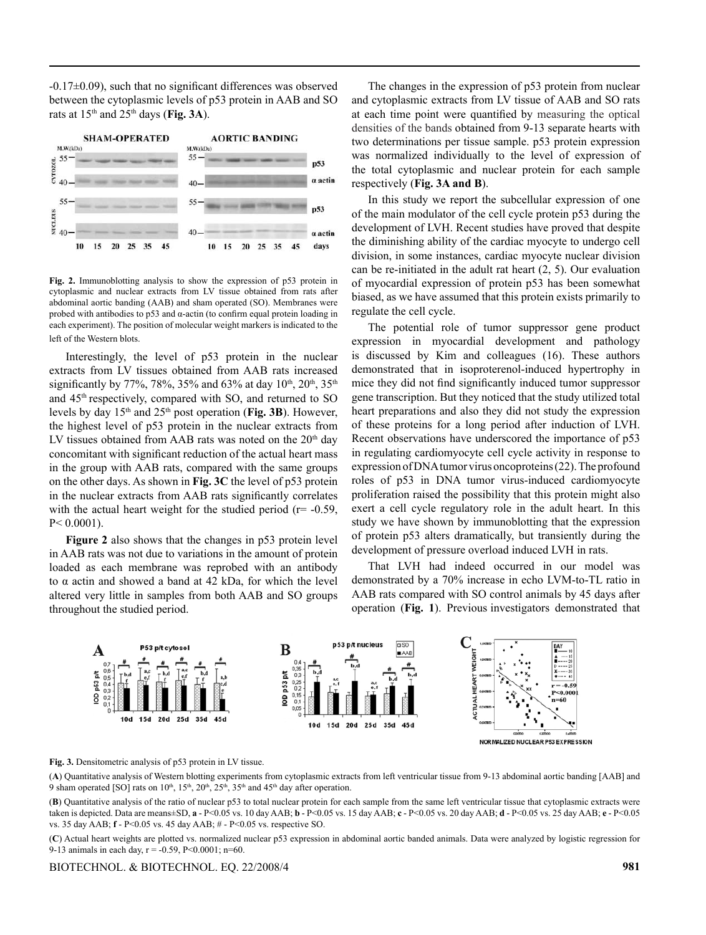-0.17±0.09), such that no significant differences was observed between the cytoplasmic levels of p53 protein in AAB and SO rats at  $15<sup>th</sup>$  and  $25<sup>th</sup>$  days (Fig. 3A).



**Fig. 2.** Immunoblotting analysis to show the expression of p53 protein in cytoplasmic and nuclear extracts from LV tissue obtained from rats after abdominal aortic banding (AAB) and sham operated (SO). Membranes were probed with antibodies to p53 and α-actin (to confirm equal protein loading in each experiment). The position of molecular weight markers is indicated to the left of the Western blots.

Interestingly, the level of p53 protein in the nuclear extracts from LV tissues obtained from AAB rats increased significantly by 77%, 78%, 35% and 63% at day  $10^{th}$ ,  $20^{th}$ ,  $35^{th}$ and 45th respectively, compared with SO, and returned to SO levels by day 15th and 25th post operation (**Fig. 3B**). However, the highest level of p53 protein in the nuclear extracts from LV tissues obtained from AAB rats was noted on the  $20<sup>th</sup>$  day concomitant with significant reduction of the actual heart mass in the group with AAB rats, compared with the same groups on the other days. As shown in **Fig. 3C** the level of p53 protein in the nuclear extracts from AAB rats significantly correlates with the actual heart weight for the studied period ( $r = -0.59$ , P< 0.0001).

**Figure 2** also shows that the changes in p53 protein level in AAB rats was not due to variations in the amount of protein loaded as each membrane was reprobed with an antibody to α actin and showed a band at 42 kDa, for which the level altered very little in samples from both AAB and SO groups throughout the studied period.

The changes in the expression of p53 protein from nuclear and cytoplasmic extracts from LV tissue of AAB and SO rats at each time point were quantified by measuring the optical densities of the bands obtained from 9-13 separate hearts with two determinations per tissue sample. p53 protein expression was normalized individually to the level of expression of the total cytoplasmic and nuclear protein for each sample respectively (**Fig. 3A and B**).

In this study we report the subcellular expression of one of the main modulator of the cell cycle protein p53 during the development of LVH. Recent studies have proved that despite the diminishing ability of the cardiac myocyte to undergo cell division, in some instances, cardiac myocyte nuclear division can be re-initiated in the adult rat heart (2, 5). Our evaluation of myocardial expression of protein p53 has been somewhat biased, as we have assumed that this protein exists primarily to regulate the cell cycle.

The potential role of tumor suppressor gene product expression in myocardial development and pathology is discussed by Kim and colleagues (16). These authors demonstrated that in isoproterenol-induced hypertrophy in mice they did not find significantly induced tumor suppressor gene transcription. But they noticed that the study utilized total heart preparations and also they did not study the expression of these proteins for a long period after induction of LVH. Recent observations have underscored the importance of p53 in regulating cardiomyocyte cell cycle activity in response to expression of DNA tumor virus oncoproteins (22). The profound roles of p53 in DNA tumor virus-induced cardiomyocyte proliferation raised the possibility that this protein might also exert a cell cycle regulatory role in the adult heart. In this study we have shown by immunoblotting that the expression of protein p53 alters dramatically, but transiently during the development of pressure overload induced LVH in rats.

That LVH had indeed occurred in our model was demonstrated by a 70% increase in echo LVM-to-TL ratio in AAB rats compared with SO control animals by 45 days after operation (**Fig. 1**). Previous investigators demonstrated that



#### **Fig. 3.** Densitometric analysis of p53 protein in LV tissue.

(**A**) Quantitative analysis of Western blotting experiments from cytoplasmic extracts from left ventricular tissue from 9-13 abdominal aortic banding [AAB] and 9 sham operated [SO] rats on  $10^{th}$ ,  $15^{th}$ ,  $20^{th}$ ,  $25^{th}$ ,  $35^{th}$  and  $45^{th}$  day after operation.

(**B**) Quantitative analysis of the ratio of nuclear p53 to total nuclear protein for each sample from the same left ventricular tissue that cytoplasmic extracts were taken is depicted. Data are means±SD, **a** - P<0.05 vs. 10 day AAB; **b** - P<0.05 vs. 15 day AAB; **c** - P<0.05 vs. 20 day AAB; **d** - P<0.05 vs. 25 day AAB; **e** - P<0.05 vs. 35 day AAB; **f** - P<0.05 vs. 45 day AAB; # - P<0.05 vs. respective SO.

(**C**) Actual heart weights are plotted vs. normalized nuclear p53 expression in abdominal aortic banded animals. Data were analyzed by logistic regression for 9-13 animals in each day,  $r = -0.59$ ,  $P < 0.0001$ ;  $n = 60$ .

#### Biotechnol. & Biotechnol. Eq. 22/2008/4 **981**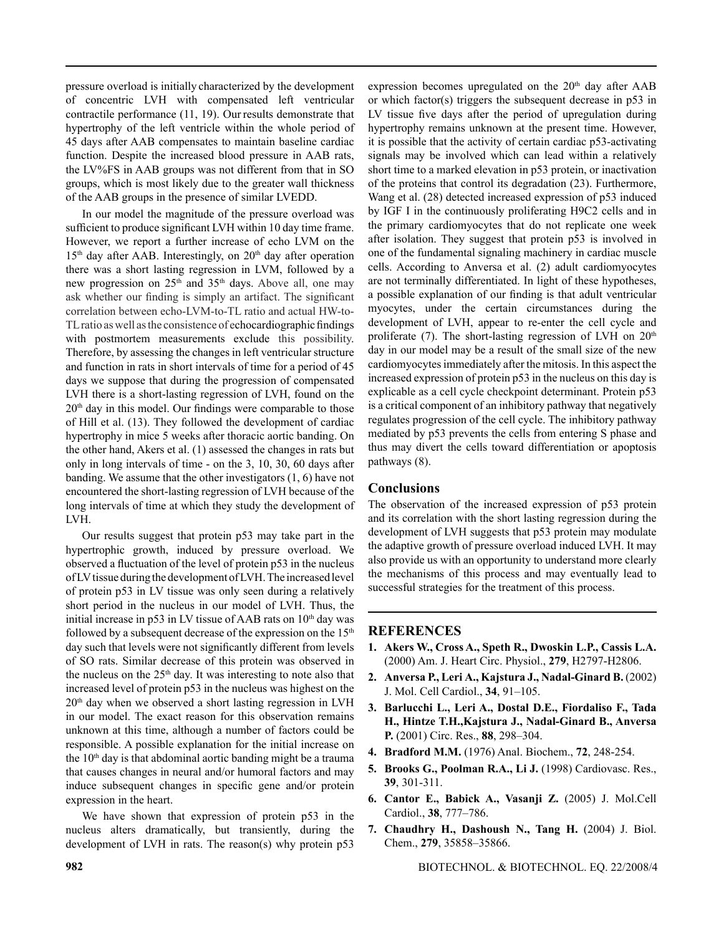pressure overload is initially characterized by the development of concentric LVH with compensated left ventricular contractile performance (11, 19). Our results demonstrate that hypertrophy of the left ventricle within the whole period of 45 days after AAB compensates to maintain baseline cardiac function. Despite the increased blood pressure in AAB rats, the LV%FS in AAB groups was not different from that in SO groups, which is most likely due to the greater wall thickness of the AAB groups in the presence of similar LVEDD.

In our model the magnitude of the pressure overload was sufficient to produce significant LVH within 10 day time frame. However, we report a further increase of echo LVM on the  $15<sup>th</sup>$  day after AAB. Interestingly, on  $20<sup>th</sup>$  day after operation there was a short lasting regression in LVM, followed by a new progression on  $25<sup>th</sup>$  and  $35<sup>th</sup>$  days. Above all, one may ask whether our finding is simply an artifact. The significant correlation between echo-LVM-to-TL ratio and actual HW-to-TL ratio as well as the consistence of echocardiographic findings with postmortem measurements exclude this possibility. Therefore, by assessing the changes in left ventricular structure and function in rats in short intervals of time for a period of 45 days we suppose that during the progression of compensated LVH there is a short-lasting regression of LVH, found on the 20th day in this model. Our findings were comparable to those of Hill et al. (13). They followed the development of cardiac hypertrophy in mice 5 weeks after thoracic aortic banding. On the other hand, Akers et al. (1) assessed the changes in rats but only in long intervals of time - on the 3, 10, 30, 60 days after banding. We assume that the other investigators (1, 6) have not encountered the short-lasting regression of LVH because of the long intervals of time at which they study the development of LVH.

Our results suggest that protein p53 may take part in the hypertrophic growth, induced by pressure overload. We observed a fluctuation of the level of protein p53 in the nucleus of LV tissue during the development of LVH. The increased level of protein p53 in LV tissue was only seen during a relatively short period in the nucleus in our model of LVH. Thus, the initial increase in p53 in LV tissue of AAB rats on  $10<sup>th</sup>$  day was followed by a subsequent decrease of the expression on the  $15<sup>th</sup>$ day such that levels were not significantly different from levels of SO rats. Similar decrease of this protein was observed in the nucleus on the  $25<sup>th</sup>$  day. It was interesting to note also that increased level of protein p53 in the nucleus was highest on the  $20<sup>th</sup>$  day when we observed a short lasting regression in LVH in our model. The exact reason for this observation remains unknown at this time, although a number of factors could be responsible. A possible explanation for the initial increase on the  $10<sup>th</sup>$  day is that abdominal aortic banding might be a trauma that causes changes in neural and/or humoral factors and may induce subsequent changes in specific gene and/or protein expression in the heart.

We have shown that expression of protein p53 in the nucleus alters dramatically, but transiently, during the development of LVH in rats. The reason(s) why protein p53 expression becomes upregulated on the  $20<sup>th</sup>$  day after AAB or which factor(s) triggers the subsequent decrease in p53 in LV tissue five days after the period of upregulation during hypertrophy remains unknown at the present time. However, it is possible that the activity of certain cardiac p53-activating signals may be involved which can lead within a relatively short time to a marked elevation in p53 protein, or inactivation of the proteins that control its degradation (23). Furthermore, Wang et al. (28) detected increased expression of p53 induced by IGF I in the continuously proliferating H9C2 cells and in the primary cardiomyocytes that do not replicate one week after isolation. They suggest that protein p53 is involved in one of the fundamental signaling machinery in cardiac muscle cells. According to Anversa et al. (2) adult cardiomyocytes are not terminally differentiated. In light of these hypotheses, a possible explanation of our finding is that adult ventricular myocytes, under the certain circumstances during the development of LVH, appear to re-enter the cell cycle and proliferate (7). The short-lasting regression of LVH on  $20<sup>th</sup>$ day in our model may be a result of the small size of the new cardiomyocytes immediately after the mitosis. In this aspect the increased expression of protein p53 in the nucleus on this day is explicable as a cell cycle checkpoint determinant. Protein p53 is a critical component of an inhibitory pathway that negatively regulates progression of the cell cycle. The inhibitory pathway mediated by p53 prevents the cells from entering S phase and thus may divert the cells toward differentiation or apoptosis pathways (8).

# **Conclusions**

The observation of the increased expression of p53 protein and its correlation with the short lasting regression during the development of LVH suggests that p53 protein may modulate the adaptive growth of pressure overload induced LVH. It may also provide us with an opportunity to understand more clearly the mechanisms of this process and may eventually lead to successful strategies for the treatment of this process.

# **REFERENCES**

- **1. Akers W., Cross A., Speth R., Dwoskin L.P., Cassis L.A.** (2000) Am. J. Heart Circ. Physiol., **279**, H2797-H2806.
- **2. Anversa Р., Leri А., Kajstura J., Nadal-Ginard В.** (2002) J. Mol. Cell Cardiol., **34**, 91–105.
- **3. Barlucchi L., Leri A., Dostal D.E., Fiordaliso F., Tada H., Hintze T.H.,Kajstura J., Nadal-Ginard B., Anversa P.** (2001) Circ. Res., **88**, 298–304.
- **4. Bradford M.M.** (1976) Anal. Biochem., **72**, 248-254.
- **5. Brooks G., Poolman R.A., Li J.** (1998) Cardiovasc. Res., **39**, 301-311.
- **6. Cantor E., Babick A., Vasanji Z.** (2005) J. Mol.Cell Cardiol., **38**, 777–786.
- **7. Chaudhry H., Dashoush N., Tang H.** (2004) J. Biol. Chem., **279**, 35858–35866.